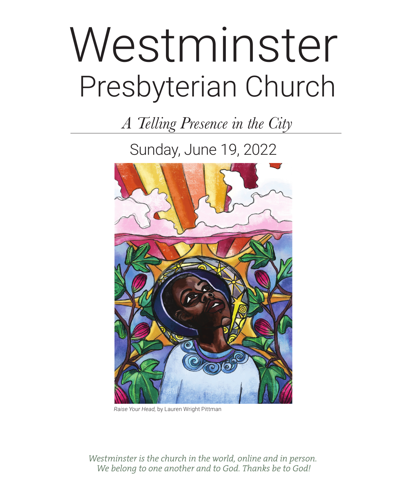# Presbyterian Church Westminster

*A Telling Presence in the City*

Sunday, June 19, 2022



*Raise Your Head,* by Lauren Wright Pittman

*Westminster is the church in the world, online and in person. We belong to one another and to God. Thanks be to God!*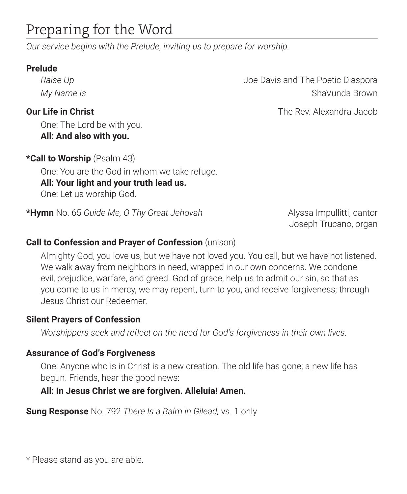## Preparing for the Word

*Our service begins with the Prelude, inviting us to prepare for worship.*

#### **Prelude**

One: The Lord be with you. **All: And also with you.**

**\*Call to Worship** (Psalm 43) One: You are the God in whom we take refuge. **All: Your light and your truth lead us.** One: Let us worship God.

**\*Hymn** No. 65 *Guide Me, O Thy Great Jehovah* Alyssa Impullitti, cantor

Joseph Trucano, organ

#### **Call to Confession and Prayer of Confession** (unison)

Almighty God, you love us, but we have not loved you. You call, but we have not listened. We walk away from neighbors in need, wrapped in our own concerns. We condone evil, prejudice, warfare, and greed. God of grace, help us to admit our sin, so that as you come to us in mercy, we may repent, turn to you, and receive forgiveness; through Jesus Christ our Redeemer.

#### **Silent Prayers of Confession**

*Worshippers seek and reflect on the need for God's forgiveness in their own lives.*

#### **Assurance of God's Forgiveness**

One: Anyone who is in Christ is a new creation. The old life has gone; a new life has begun. Friends, hear the good news:

#### **All: In Jesus Christ we are forgiven. Alleluia! Amen.**

**Sung Response** No. 792 *There Is a Balm in Gilead,* vs. 1 only

\* Please stand as you are able.

*Raise Up* **Diagonal Contract Proportional Contract Proportional According Joe Davis and The Poetic Diaspora** *My Name Is* **ShaVunda Brown** 

**Our Life in Christ The Rev. Alexandra Jacob Our Life in Christ The Rev. Alexandra Jacob**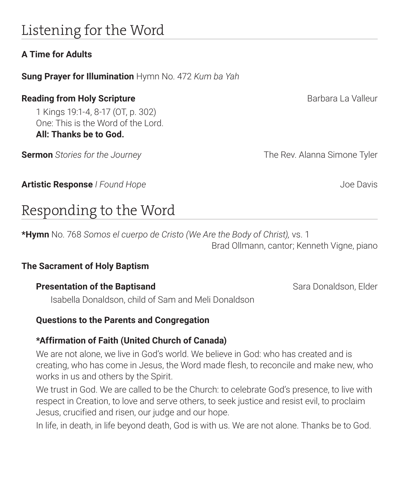## Listening for the Word

#### **A Time for Adults**

**Sung Prayer for Illumination** Hymn No. 472 *Kum ba Yah*

#### **Reading from Holy Scripture Barbara La Valleur** Barbara La Valleur

1 Kings 19:1-4, 8-17 (OT, p. 302) One: This is the Word of the Lord. **All: Thanks be to God.** 

**Sermon** *Stories for the Journey* The Rev. Alanna Simone Tyler

**Artistic Response** *I Found Hope Artistic Response <i>I* Found Hope *Joe Davis* 

## Responding to the Word

**\*Hymn** No. 768 *Somos el cuerpo de Cristo (We Are the Body of Christ),* vs. 1 Brad Ollmann, cantor; Kenneth Vigne, piano

#### **The Sacrament of Holy Baptism**

## **Presentation of the Baptisand Sara Donaldson, Elder** Sara Donaldson, Elder

Isabella Donaldson, child of Sam and Meli Donaldson

#### **Questions to the Parents and Congregation**

#### **\*Affirmation of Faith (United Church of Canada)**

We are not alone, we live in God's world. We believe in God: who has created and is creating, who has come in Jesus, the Word made flesh, to reconcile and make new, who works in us and others by the Spirit.

We trust in God. We are called to be the Church: to celebrate God's presence, to live with respect in Creation, to love and serve others, to seek justice and resist evil, to proclaim Jesus, crucified and risen, our judge and our hope.

In life, in death, in life beyond death, God is with us. We are not alone. Thanks be to God.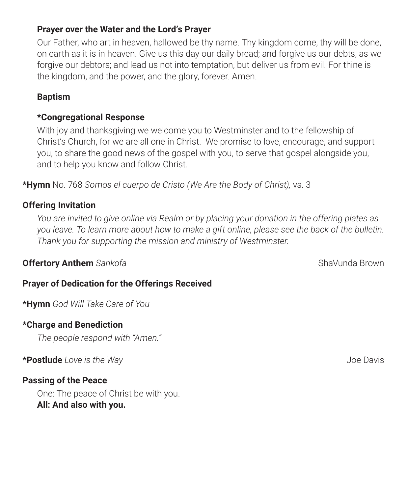#### **Prayer over the Water and the Lord's Prayer**

Our Father, who art in heaven, hallowed be thy name. Thy kingdom come, thy will be done, on earth as it is in heaven. Give us this day our daily bread; and forgive us our debts, as we forgive our debtors; and lead us not into temptation, but deliver us from evil. For thine is the kingdom, and the power, and the glory, forever. Amen.

#### **Baptism**

#### **\*Congregational Response**

With joy and thanksgiving we welcome you to Westminster and to the fellowship of Christ's Church, for we are all one in Christ. We promise to love, encourage, and support you, to share the good news of the gospel with you, to serve that gospel alongside you, and to help you know and follow Christ.

**\*Hymn** No. 768 *Somos el cuerpo de Cristo (We Are the Body of Christ),* vs. 3

#### **Offering Invitation**

*You are invited to give online via Realm or by placing your donation in the offering plates as you leave. To learn more about how to make a gift online, please see the back of the bulletin. Thank you for supporting the mission and ministry of Westminster.* 

#### **Offertory Anthem** *Sankofa* ShaVunda Brown **Contract Contract Antibox** ShaVunda Brown

#### **Prayer of Dedication for the Offerings Received**

**\*Hymn** *God Will Take Care of You*

#### **\*Charge and Benediction**

*The people respond with "Amen."* 

**\*Postlude** *Love is the Way* Joe Davis

#### **Passing of the Peace**

One: The peace of Christ be with you. **All: And also with you.**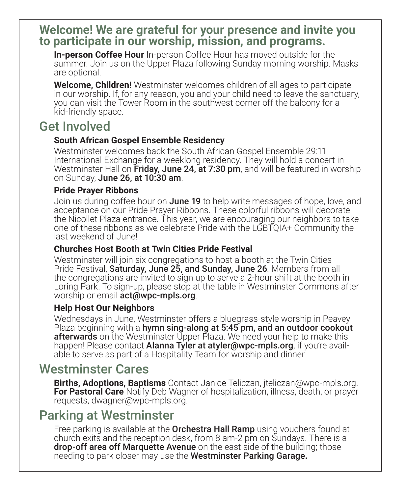#### **Welcome! We are grateful for your presence and invite you to participate in our worship, mission, and programs.**

**In-person Coffee Hour** In-person Coffee Hour has moved outside for the summer. Join us on the Upper Plaza following Sunday morning worship. Masks are optional.

**Welcome, Children!** Westminster welcomes children of all ages to participate in our worship. If, for any reason, you and your child need to leave the sanctuary, you can visit the Tower Room in the southwest corner off the balcony for a kid-friendly space.

## Get Involved

#### **South African Gospel Ensemble Residency**

Westminster welcomes back the South African Gospel Ensemble 29:11 International Exchange for a weeklong residency. They will hold a concert in Westminster Hall on **Friday, June 24, at 7:30 pm**, and will be featured in worship on Sunday, June 26, at 10:30 am.

#### **Pride Prayer Ribbons**

Join us during coffee hour on **June 19** to help write messages of hope, love, and acceptance on our Pride Prayer Ribbons. These colorful ribbons will decorate the Nicollet Plaza entrance. This year, we are encouraging our neighbors to take one of these ribbons as we celebrate Pride with the LGBTQIA+ Community the last weekend of June!

#### **Churches Host Booth at Twin Cities Pride Festival**

Westminster will join six congregations to host a booth at the Twin Cities Pride Festival, Saturday, June 25, and Sunday, June 26. Members from all the congregations are invited to sign up to serve a 2-hour shift at the booth in Loring Park. To sign-up, please stop at the table in Westminster Commons after worship or email **act@wpc-mpls.org**.

#### **Help Host Our Neighbors**

Wednesdays in June, Westminster offers a bluegrass-style worship in Peavey Plaza beginning with a hymn sing-along at 5:45 pm, and an outdoor cookout afterwards on the Westminster Upper Plaza. We need your help to make this happen! Please contact **Alanna Tyler at atyler@wpc-mpls.org**, if you're avail-<br>able to serve as part of a Hospitality Team for worship and dinner.

#### Westminster Cares

**Births, Adoptions, Baptisms** Contact Janice Teliczan, jteliczan@wpc-mpls.org. **For Pastoral Care** Notify Deb Wagner of hospitalization, illness, death, or prayer requests, dwagner@wpc-mpls.org.

### Parking at Westminster

Free parking is available at the **Orchestra Hall Ramp** using vouchers found at church exits and the reception desk, from 8 am-2 pm on Sundays. There is a **drop-off area off Marquette Avenue** on the east side of the building; those needing to park closer may use the Westminster Parking Garage**.**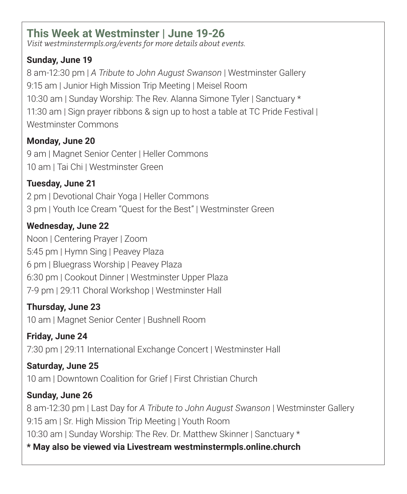#### **This Week at Westminster | June 19-26**

*Visit westminstermpls.org/events for more details about events.*

#### **Sunday, June 19**

8 am-12:30 pm | *A Tribute to John August Swanson* | Westminster Gallery 9:15 am | Junior High Mission Trip Meeting | Meisel Room 10:30 am | Sunday Worship: The Rev. Alanna Simone Tyler | Sanctuary \* 11:30 am | Sign prayer ribbons & sign up to host a table at TC Pride Festival | Westminster Commons

#### **Monday, June 20**

9 am | Magnet Senior Center | Heller Commons 10 am | Tai Chi | Westminster Green

#### **Tuesday, June 21**

2 pm | Devotional Chair Yoga | Heller Commons 3 pm | Youth Ice Cream "Quest for the Best" | Westminster Green

#### **Wednesday, June 22**

Noon | Centering Prayer | Zoom 5:45 pm | Hymn Sing | Peavey Plaza 6 pm | Bluegrass Worship | Peavey Plaza 6:30 pm | Cookout Dinner | Westminster Upper Plaza 7-9 pm | 29:11 Choral Workshop | Westminster Hall

#### **Thursday, June 23**

10 am | Magnet Senior Center | Bushnell Room

**Friday, June 24** 7:30 pm | 29:11 International Exchange Concert | Westminster Hall

**Saturday, June 25** 10 am | Downtown Coalition for Grief | First Christian Church

#### **Sunday, June 26** 8 am-12:30 pm | Last Day for *A Tribute to John August Swanson* | Westminster Gallery 9:15 am | Sr. High Mission Trip Meeting | Youth Room 10:30 am | Sunday Worship: The Rev. Dr. Matthew Skinner | Sanctuary \* **\* May also be viewed via Livestream westminstermpls.online.church**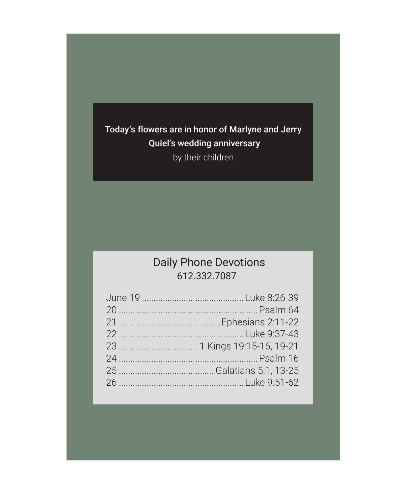Today's flowers are in honor of Marlyne and Jerry Quiel's wedding anniversary by their children

#### Daily Phone Devotions 612.332.7087